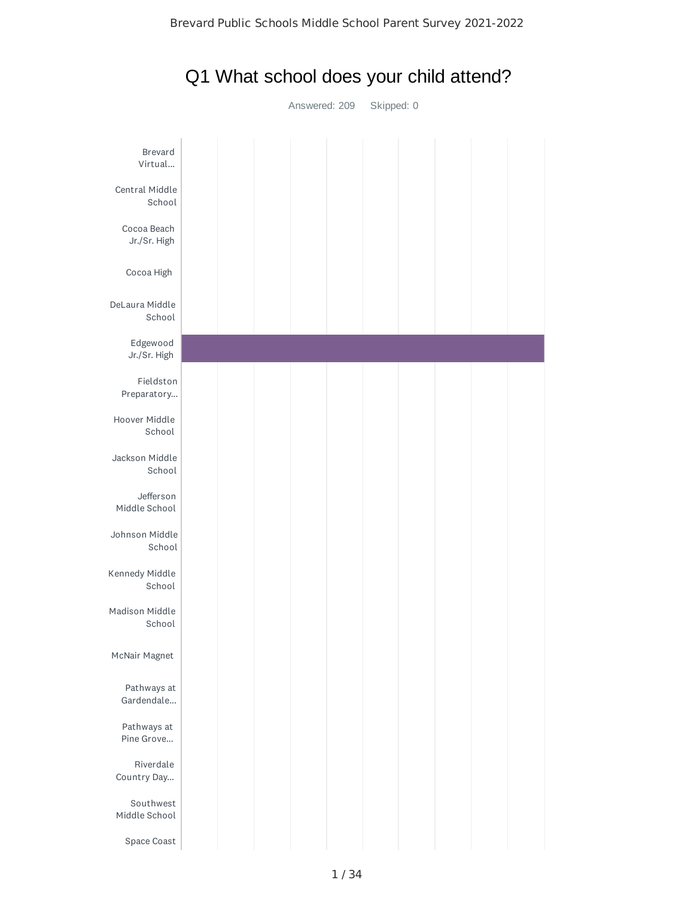

## Q1 What school does your child attend?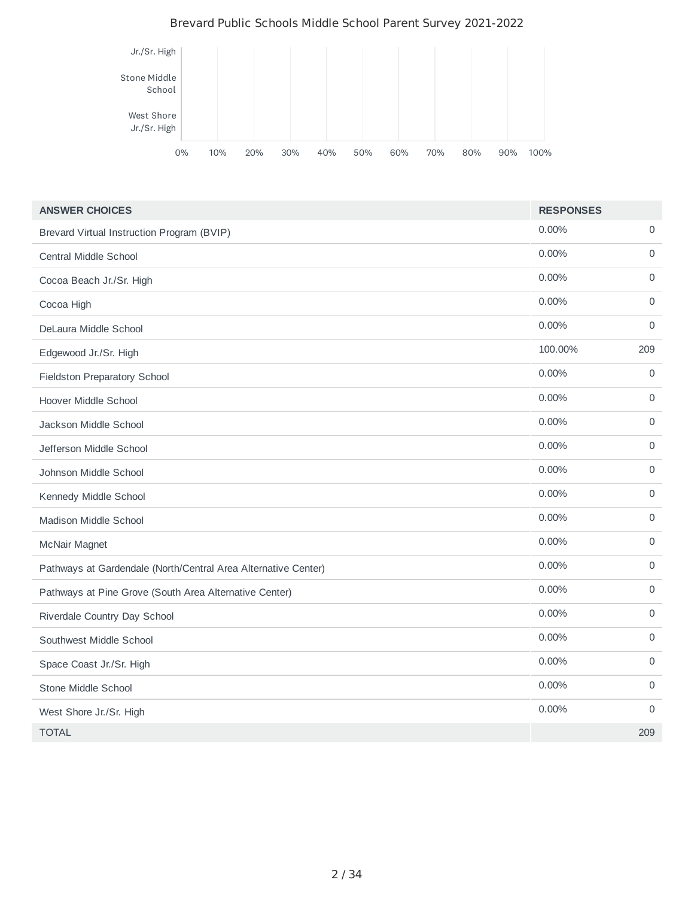#### Brevard Public Schools Middle School Parent Survey 2021-2022



| <b>ANSWER CHOICES</b>                                          | <b>RESPONSES</b> |              |
|----------------------------------------------------------------|------------------|--------------|
| Brevard Virtual Instruction Program (BVIP)                     | 0.00%            | 0            |
| Central Middle School                                          | 0.00%            | $\Omega$     |
| Cocoa Beach Jr./Sr. High                                       | 0.00%            | $\mathsf O$  |
| Cocoa High                                                     | $0.00\%$         | 0            |
| DeLaura Middle School                                          | 0.00%            | $\mathbf 0$  |
| Edgewood Jr./Sr. High                                          | 100.00%          | 209          |
| Fieldston Preparatory School                                   | $0.00\%$         | $\mathsf{O}$ |
| Hoover Middle School                                           | 0.00%            | 0            |
| Jackson Middle School                                          | 0.00%            | $\mathbf 0$  |
| Jefferson Middle School                                        | 0.00%            | $\mathsf{O}$ |
| Johnson Middle School                                          | $0.00\%$         | $\Omega$     |
| Kennedy Middle School                                          | 0.00%            | $\mathbf 0$  |
| Madison Middle School                                          | $0.00\%$         | $\mathsf{O}$ |
| McNair Magnet                                                  | 0.00%            | 0            |
| Pathways at Gardendale (North/Central Area Alternative Center) | 0.00%            | $\mathbf 0$  |
| Pathways at Pine Grove (South Area Alternative Center)         | $0.00\%$         | 0            |
| Riverdale Country Day School                                   | 0.00%            | 0            |
| Southwest Middle School                                        | 0.00%            | $\mathbf 0$  |
| Space Coast Jr./Sr. High                                       | $0.00\%$         | $\mathsf O$  |
| Stone Middle School                                            | 0.00%            | $\Omega$     |
| West Shore Jr./Sr. High                                        | 0.00%            | 0            |
| <b>TOTAL</b>                                                   |                  | 209          |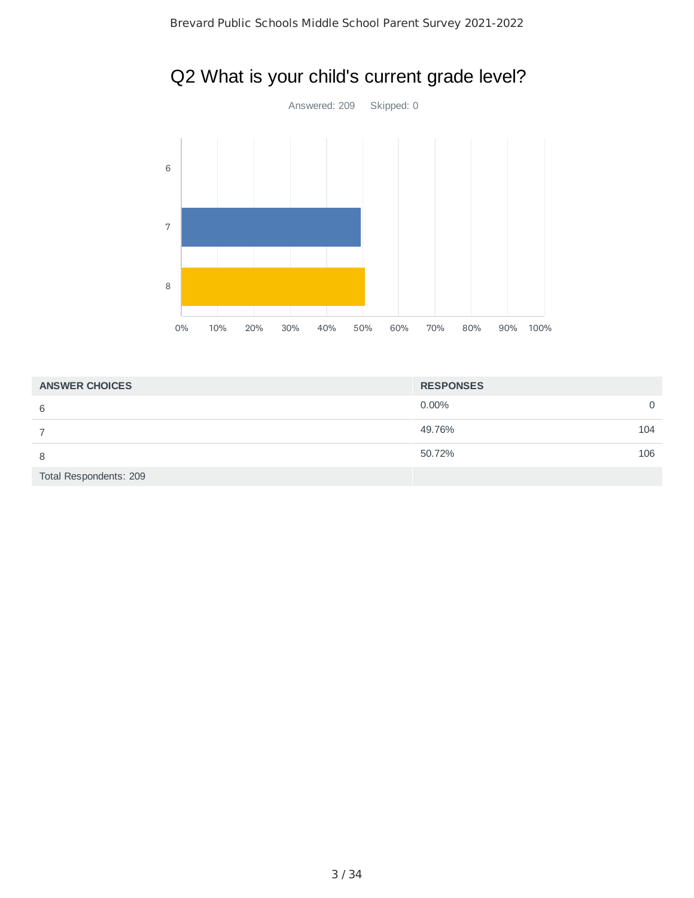

# Q2 What is your child's current grade level?

| <b>ANSWER CHOICES</b>  | <b>RESPONSES</b>     |
|------------------------|----------------------|
| 6                      | $0.00\%$<br>$\Omega$ |
|                        | 49.76%<br>104        |
| 8                      | 50.72%<br>106        |
| Total Respondents: 209 |                      |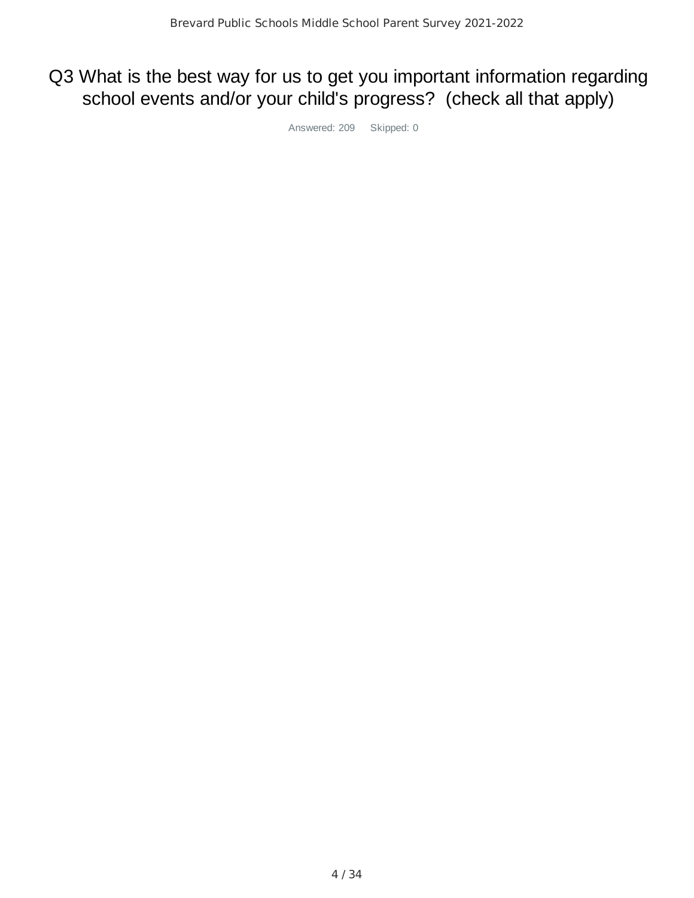# Q3 What is the best way for us to get you important information regarding school events and/or your child's progress? (check all that apply)

Answered: 209 Skipped: 0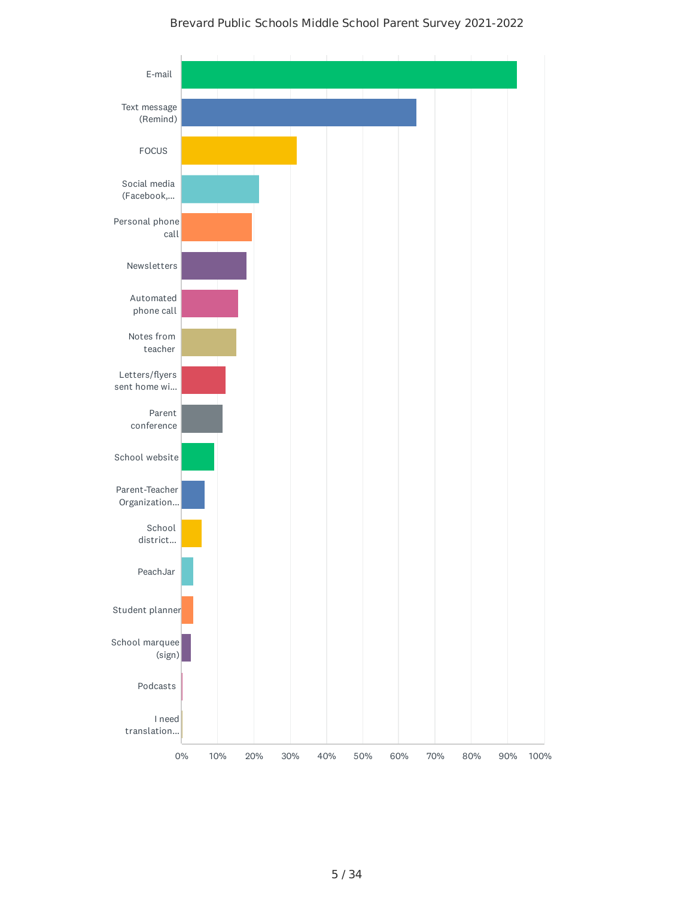#### Brevard Public Schools Middle School Parent Survey 2021-2022

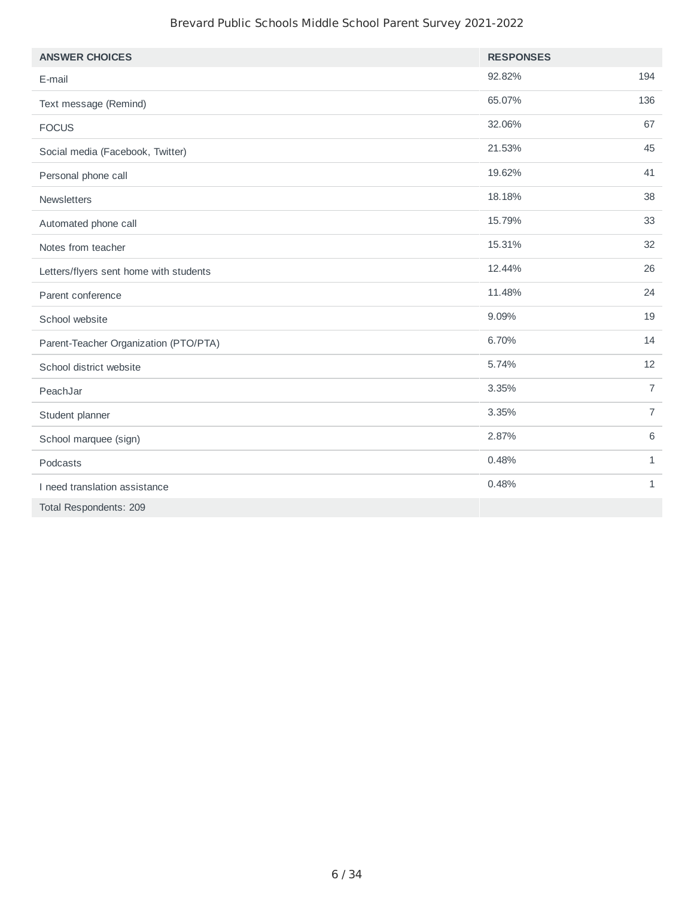#### Brevard Public Schools Middle School Parent Survey 2021-2022

| <b>ANSWER CHOICES</b>                  | <b>RESPONSES</b> |                |
|----------------------------------------|------------------|----------------|
| E-mail                                 | 92.82%           | 194            |
| Text message (Remind)                  | 65.07%           | 136            |
| <b>FOCUS</b>                           | 32.06%           | 67             |
| Social media (Facebook, Twitter)       | 21.53%           | 45             |
| Personal phone call                    | 19.62%           | 41             |
| Newsletters                            | 18.18%           | 38             |
| Automated phone call                   | 15.79%           | 33             |
| Notes from teacher                     | 15.31%           | 32             |
| Letters/flyers sent home with students | 12.44%           | 26             |
| Parent conference                      | 11.48%           | 24             |
| School website                         | 9.09%            | 19             |
| Parent-Teacher Organization (PTO/PTA)  | 6.70%            | 14             |
| School district website                | 5.74%            | 12             |
| PeachJar                               | 3.35%            | $\overline{7}$ |
| Student planner                        | 3.35%            | $\overline{7}$ |
| School marquee (sign)                  | 2.87%            | 6              |
| Podcasts                               | 0.48%            | $\mathbf{1}$   |
| I need translation assistance          | 0.48%            | $\mathbf{1}$   |
| Total Respondents: 209                 |                  |                |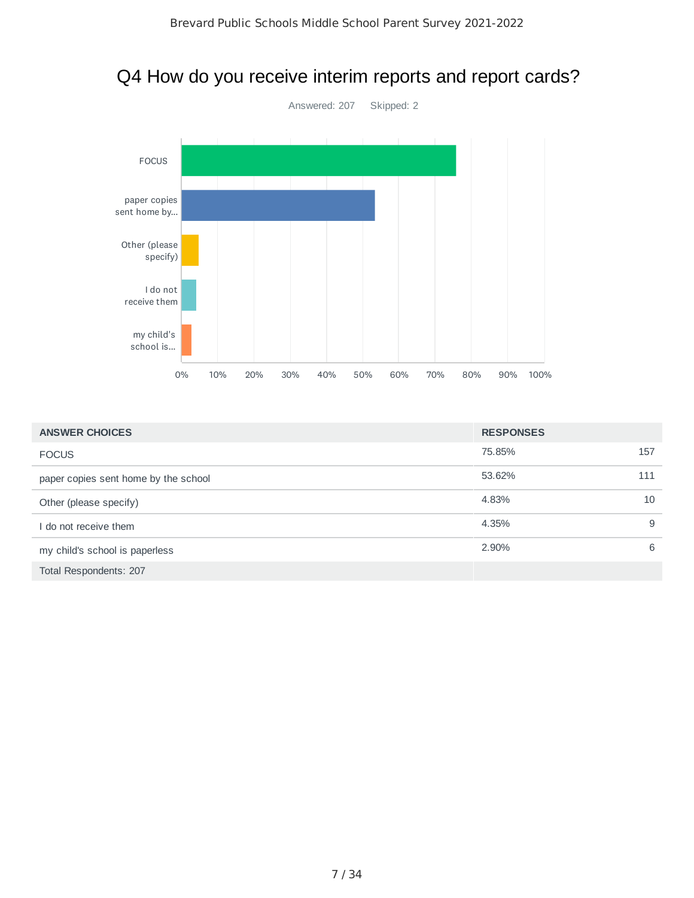## Q4 How do you receive interim reports and report cards?



| <b>ANSWER CHOICES</b>                | <b>RESPONSES</b> |     |
|--------------------------------------|------------------|-----|
| <b>FOCUS</b>                         | 75.85%           | 157 |
| paper copies sent home by the school | 53.62%           | 111 |
| Other (please specify)               | 4.83%            | 10  |
| I do not receive them                | 4.35%            | 9   |
| my child's school is paperless       | 2.90%            | 6   |
| Total Respondents: 207               |                  |     |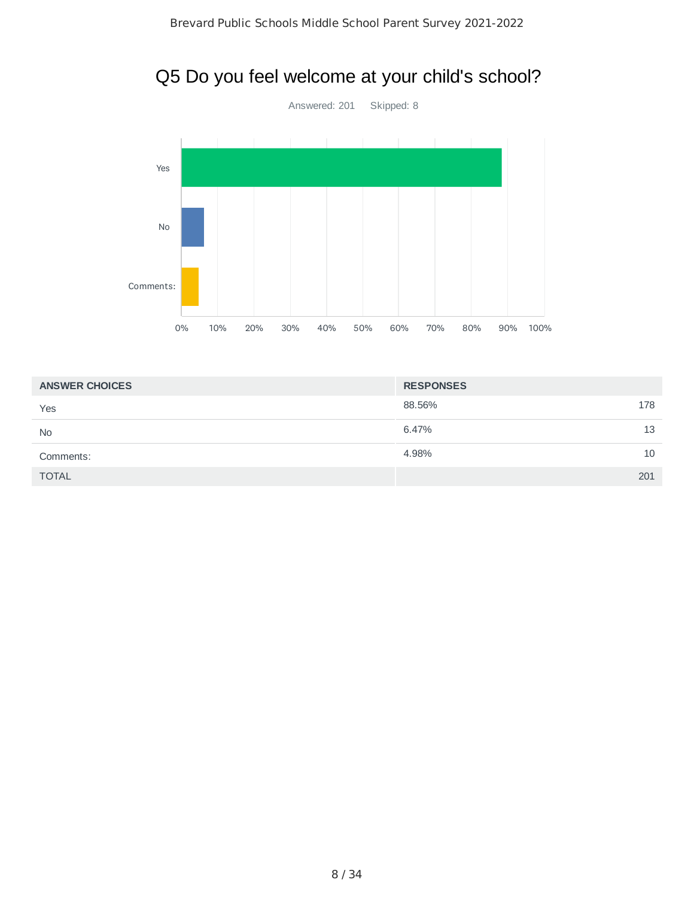## Q5 Do you feel welcome at your child's school?



| <b>ANSWER CHOICES</b> | <b>RESPONSES</b> |
|-----------------------|------------------|
| Yes                   | 88.56%<br>178    |
| <b>No</b>             | 6.47%<br>13      |
| Comments:             | 4.98%<br>10      |
| <b>TOTAL</b>          | 201              |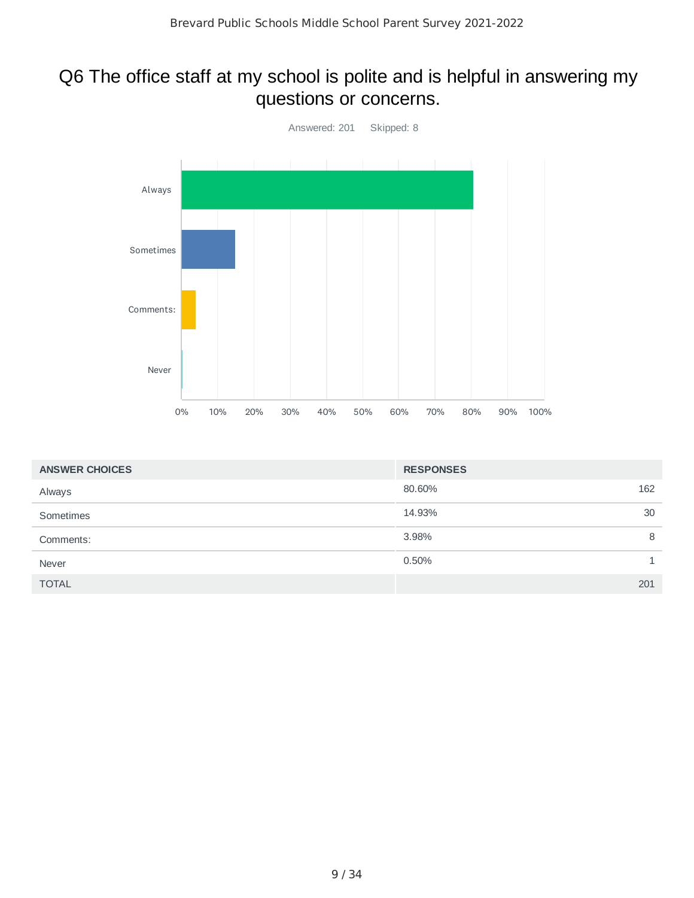## Q6 The office staff at my school is polite and is helpful in answering my questions or concerns.



| <b>ANSWER CHOICES</b> | <b>RESPONSES</b> |     |
|-----------------------|------------------|-----|
| Always                | 80.60%           | 162 |
| Sometimes             | 14.93%           | 30  |
| Comments:             | 3.98%            | 8   |
| Never                 | 0.50%            |     |
| <b>TOTAL</b>          |                  | 201 |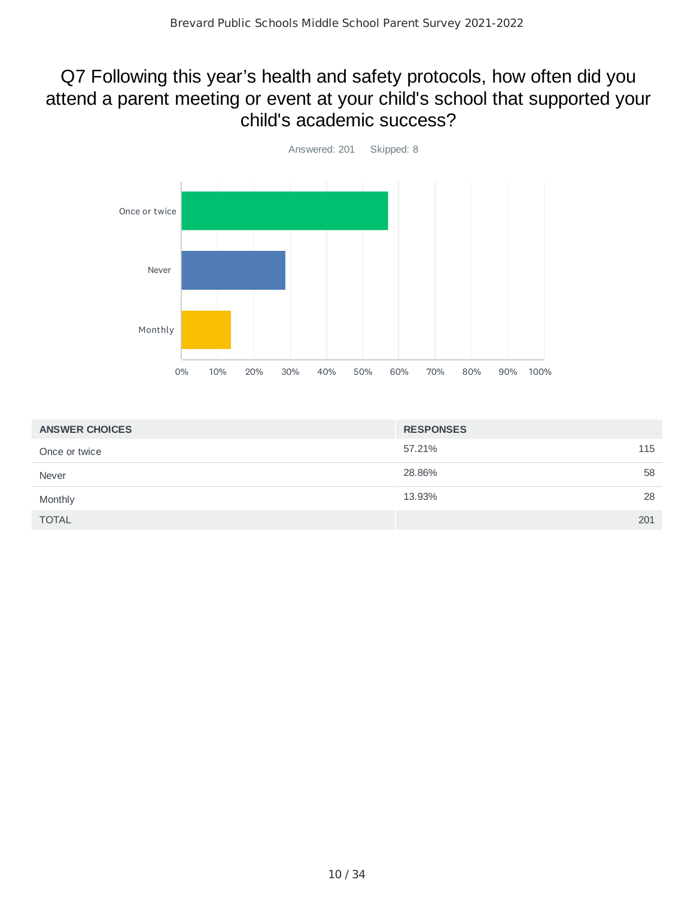## Q7 Following this year's health and safety protocols, how often did you attend a parent meeting or event at your child's school that supported your child's academic success?



| <b>ANSWER CHOICES</b> | <b>RESPONSES</b> |
|-----------------------|------------------|
| Once or twice         | 57.21%<br>115    |
| Never                 | 58<br>28.86%     |
| Monthly               | 28<br>13.93%     |
| <b>TOTAL</b>          | 201              |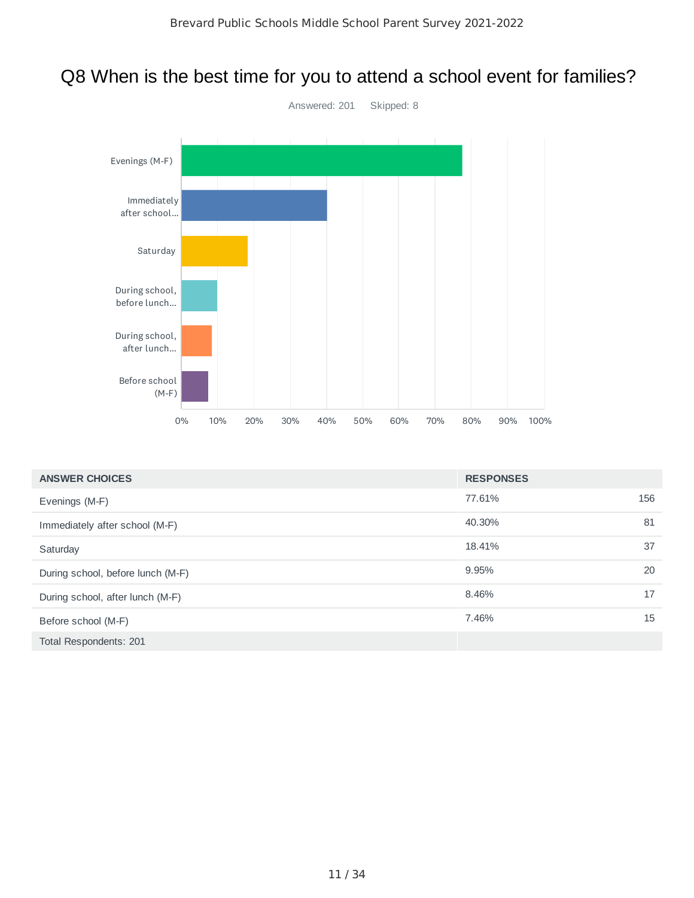# Q8 When is the best time for you to attend a school event for families?



| <b>ANSWER CHOICES</b>             | <b>RESPONSES</b> |     |
|-----------------------------------|------------------|-----|
| Evenings (M-F)                    | 77.61%           | 156 |
| Immediately after school (M-F)    | 40.30%           | 81  |
| Saturday                          | 18.41%           | 37  |
| During school, before lunch (M-F) | 9.95%            | 20  |
| During school, after lunch (M-F)  | 8.46%            | 17  |
| Before school (M-F)               | 7.46%            | 15  |
| Total Respondents: 201            |                  |     |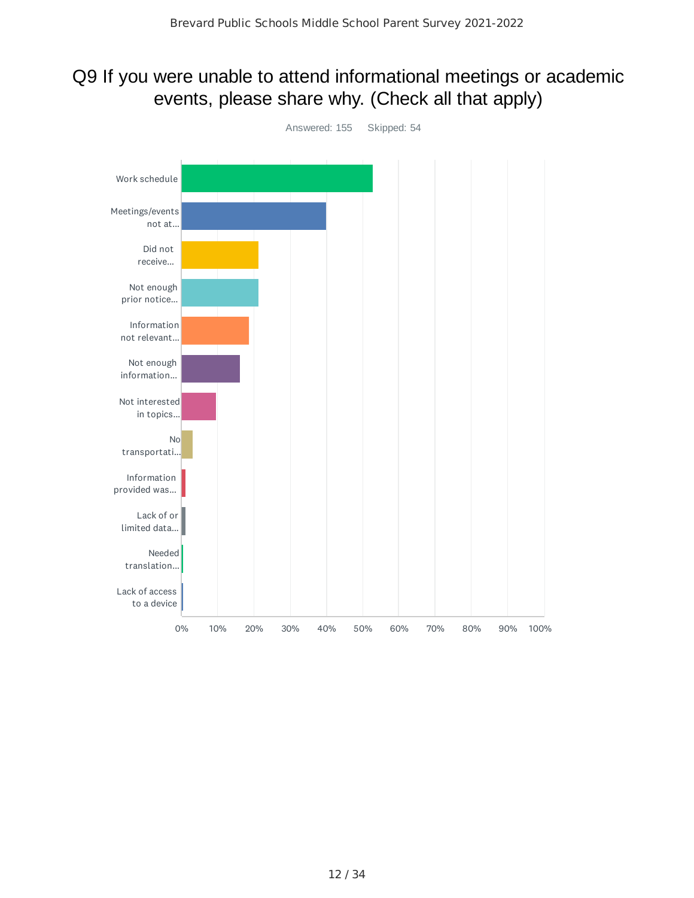## Q9 If you were unable to attend informational meetings or academic events, please share why. (Check all that apply)

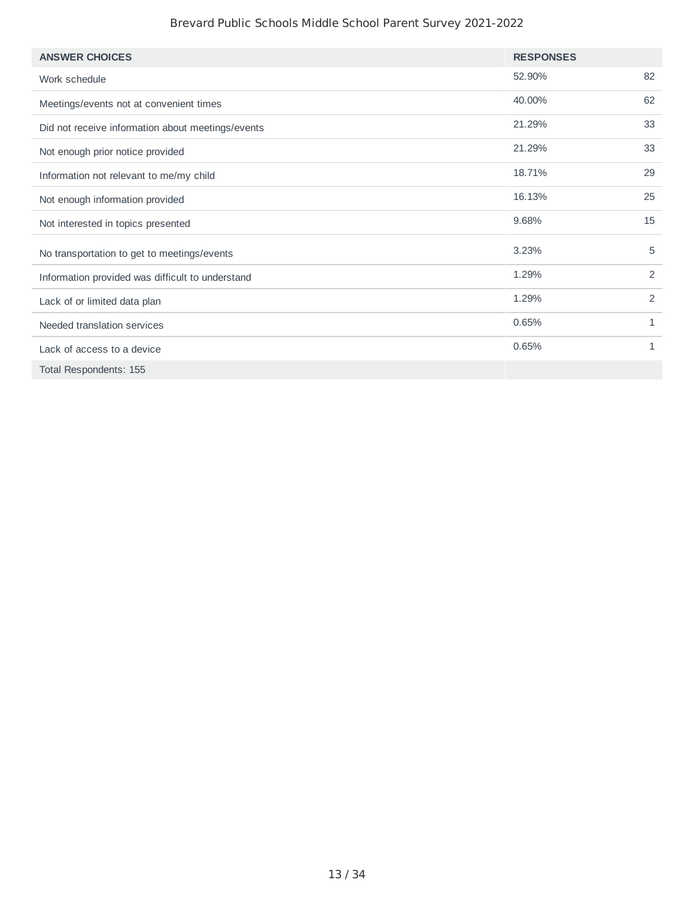#### Brevard Public Schools Middle School Parent Survey 2021-2022

| <b>ANSWER CHOICES</b>                             | <b>RESPONSES</b> |    |
|---------------------------------------------------|------------------|----|
| Work schedule                                     | 52.90%           | 82 |
| Meetings/events not at convenient times           | 40.00%           | 62 |
| Did not receive information about meetings/events | 21.29%           | 33 |
| Not enough prior notice provided                  | 21.29%           | 33 |
| Information not relevant to me/my child           | 18.71%           | 29 |
| Not enough information provided                   | 16.13%           | 25 |
| Not interested in topics presented                | 9.68%            | 15 |
| No transportation to get to meetings/events       | 3.23%            | 5  |
| Information provided was difficult to understand  | 1.29%            | 2  |
| Lack of or limited data plan                      | 1.29%            | 2  |
| Needed translation services                       | 0.65%            | 1  |
| Lack of access to a device                        | 0.65%            | 1  |
| Total Respondents: 155                            |                  |    |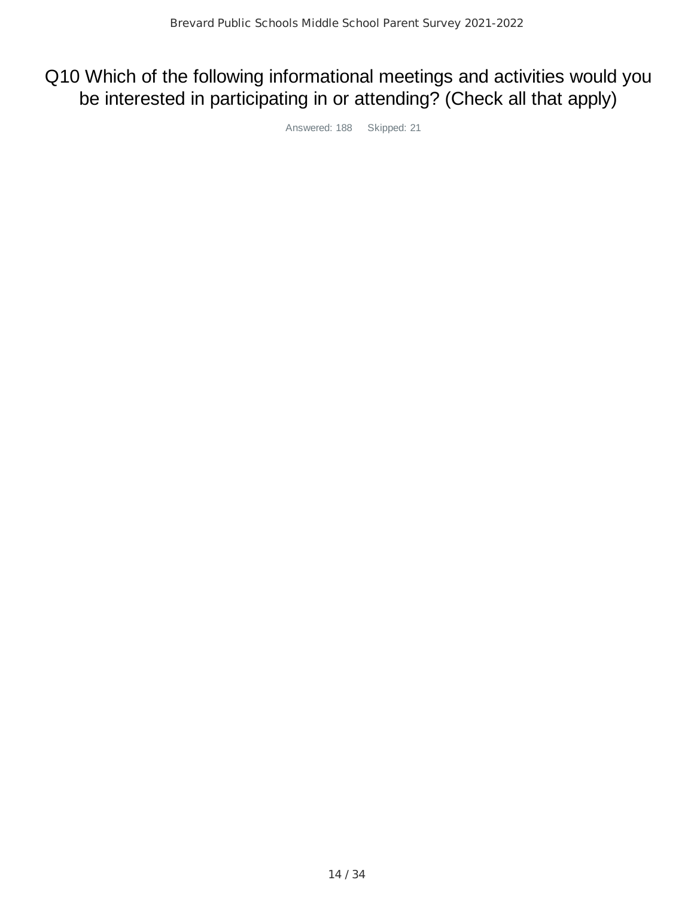## Q10 Which of the following informational meetings and activities would you be interested in participating in or attending? (Check all that apply)

Answered: 188 Skipped: 21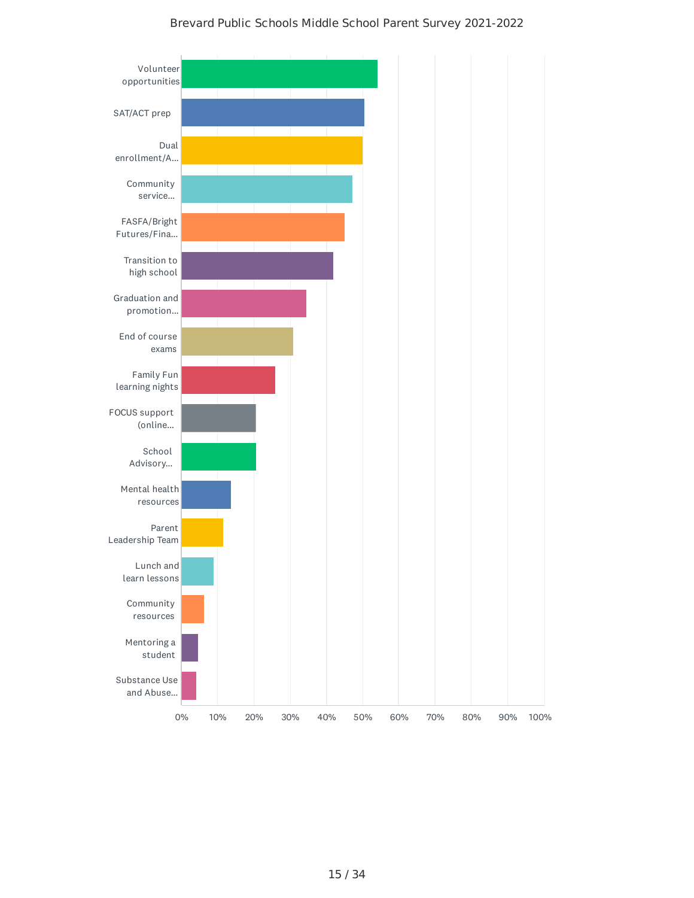#### Brevard Public Schools Middle School Parent Survey 2021-2022

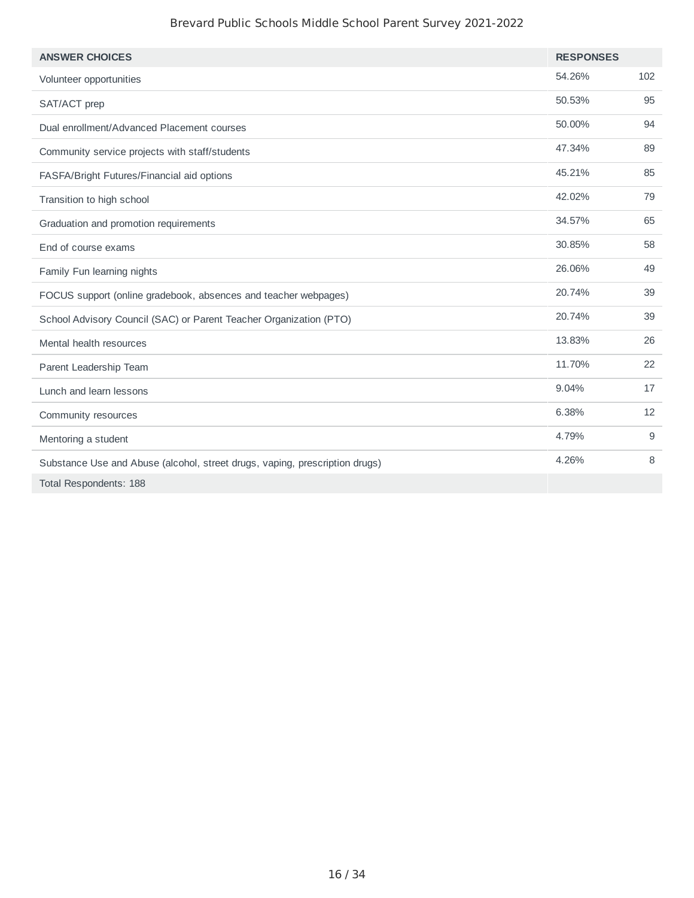#### Brevard Public Schools Middle School Parent Survey 2021-2022

| <b>ANSWER CHOICES</b>                                                       | <b>RESPONSES</b> |     |
|-----------------------------------------------------------------------------|------------------|-----|
| Volunteer opportunities                                                     | 54.26%           | 102 |
| SAT/ACT prep                                                                | 50.53%           | 95  |
| Dual enrollment/Advanced Placement courses                                  | 50.00%           | 94  |
| Community service projects with staff/students                              | 47.34%           | 89  |
| FASFA/Bright Futures/Financial aid options                                  | 45.21%           | 85  |
| Transition to high school                                                   | 42.02%           | 79  |
| Graduation and promotion requirements                                       | 34.57%           | 65  |
| End of course exams                                                         | 30.85%           | 58  |
| Family Fun learning nights                                                  | 26.06%           | 49  |
| FOCUS support (online gradebook, absences and teacher webpages)             | 20.74%           | 39  |
| School Advisory Council (SAC) or Parent Teacher Organization (PTO)          | 20.74%           | 39  |
| Mental health resources                                                     | 13.83%           | 26  |
| Parent Leadership Team                                                      | 11.70%           | 22  |
| Lunch and learn lessons                                                     | 9.04%            | 17  |
| Community resources                                                         | 6.38%            | 12  |
| Mentoring a student                                                         | 4.79%            | 9   |
| Substance Use and Abuse (alcohol, street drugs, vaping, prescription drugs) | 4.26%            | 8   |
| Total Respondents: 188                                                      |                  |     |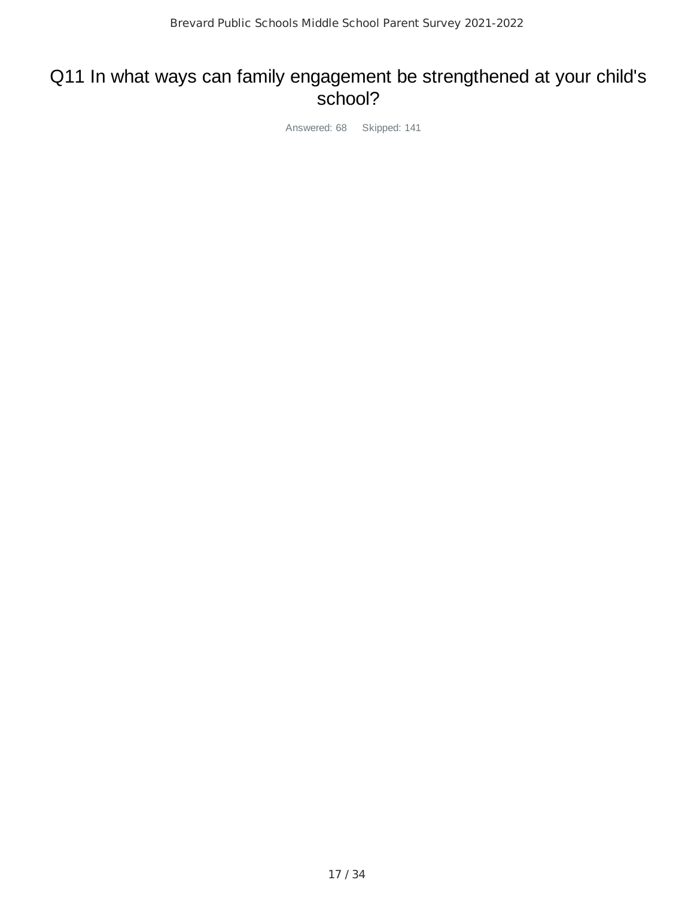#### Q11 In what ways can family engagement be strengthened at your child's school?

Answered: 68 Skipped: 141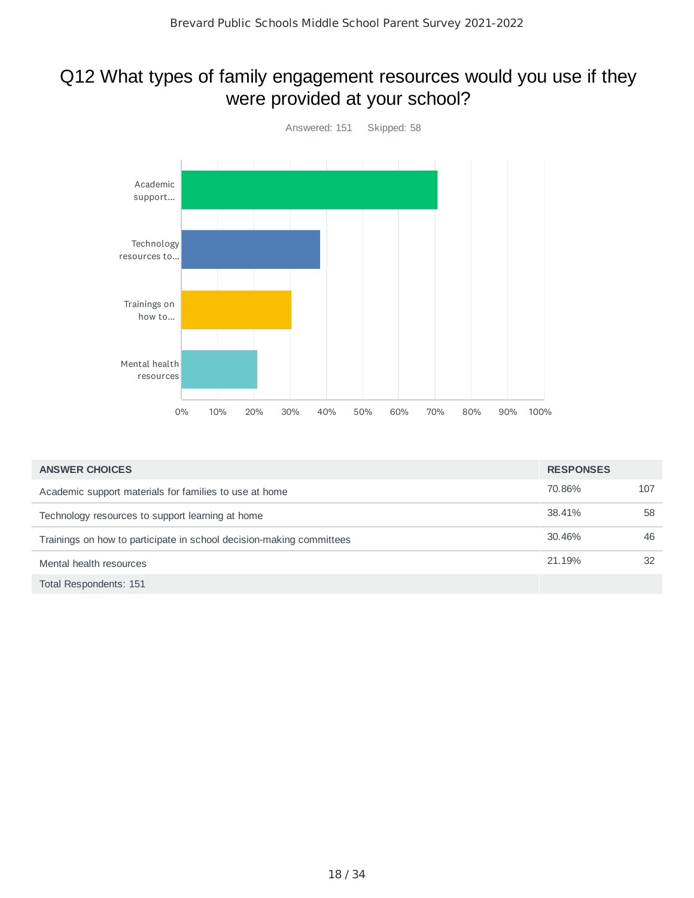## Q12 What types of family engagement resources would you use if they were provided at your school?



| <b>ANSWER CHOICES</b>                                                | <b>RESPONSES</b> |     |
|----------------------------------------------------------------------|------------------|-----|
| Academic support materials for families to use at home               | 70.86%           | 107 |
| Technology resources to support learning at home                     | 38.41%           | 58  |
| Trainings on how to participate in school decision-making committees | 30.46%           | 46  |
| Mental health resources                                              | 21.19%           | 32  |
| Total Respondents: 151                                               |                  |     |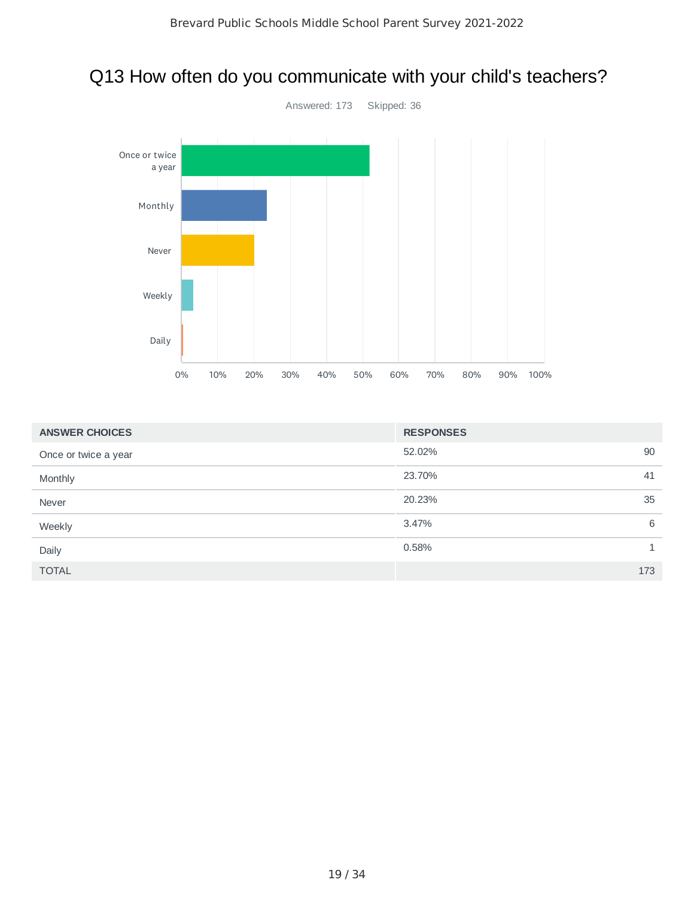## Q13 How often do you communicate with your child's teachers?



| <b>ANSWER CHOICES</b> | <b>RESPONSES</b> |     |
|-----------------------|------------------|-----|
| Once or twice a year  | 52.02%           | 90  |
| Monthly               | 23.70%           | 41  |
| Never                 | 20.23%           | 35  |
| Weekly                | 3.47%            | 6   |
| Daily                 | 0.58%            |     |
| <b>TOTAL</b>          |                  | 173 |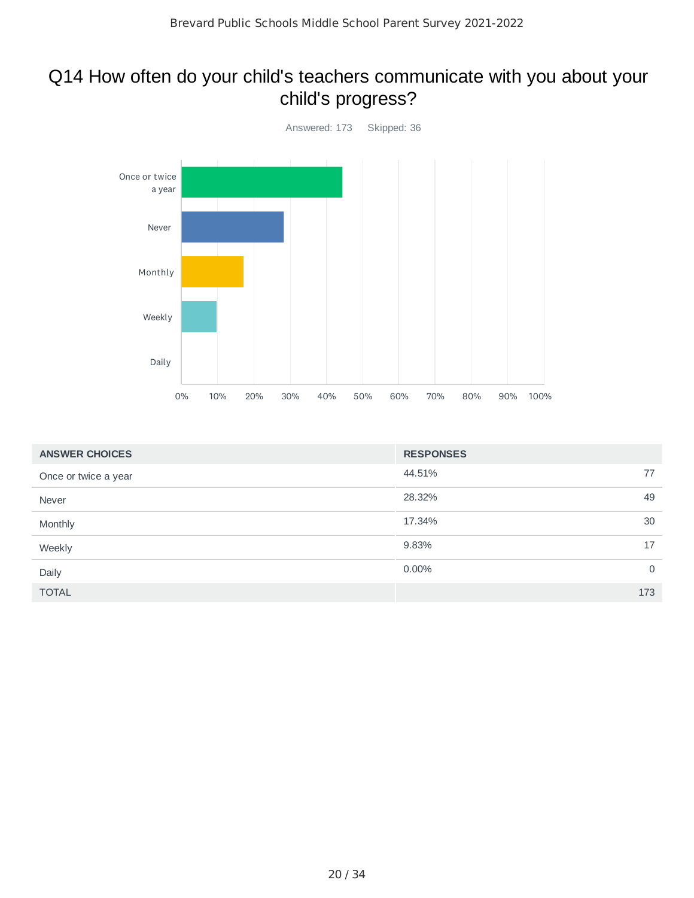## Q14 How often do your child's teachers communicate with you about your child's progress?



| <b>ANSWER CHOICES</b> | <b>RESPONSES</b>     |  |
|-----------------------|----------------------|--|
| Once or twice a year  | 44.51%<br>77         |  |
| Never                 | 28.32%<br>49         |  |
| Monthly               | 17.34%<br>30         |  |
| Weekly                | 9.83%<br>17          |  |
| Daily                 | 0.00%<br>$\mathbf 0$ |  |
| <b>TOTAL</b>          | 173                  |  |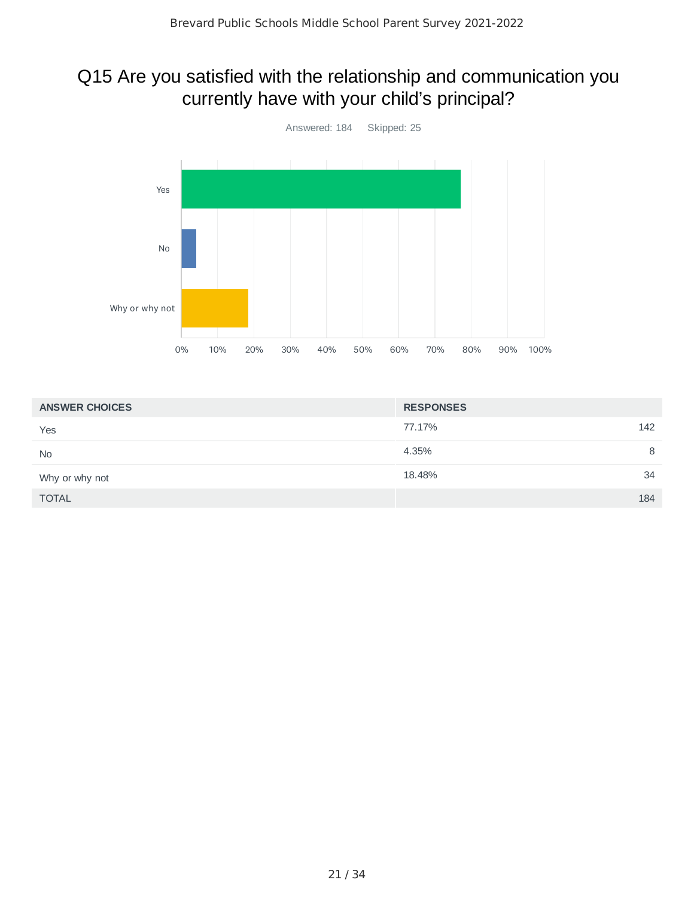## Q15 Are you satisfied with the relationship and communication you currently have with your child's principal?



| <b>ANSWER CHOICES</b> | <b>RESPONSES</b> |
|-----------------------|------------------|
| Yes                   | 77.17%<br>142    |
| <b>No</b>             | 4.35%<br>8       |
| Why or why not        | 18.48%<br>34     |
| <b>TOTAL</b>          | 184              |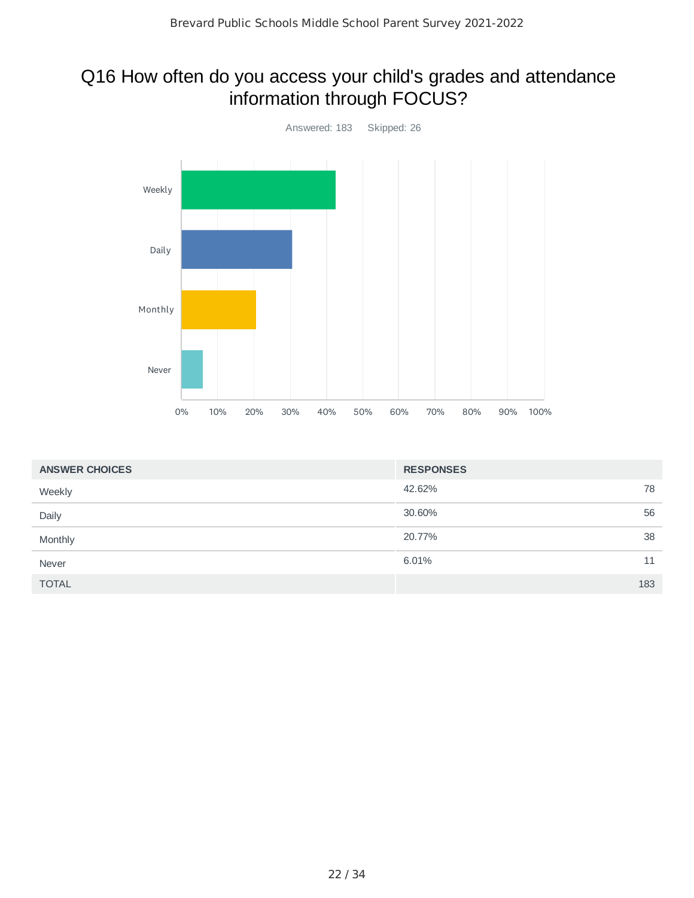## Q16 How often do you access your child's grades and attendance information through FOCUS?



| <b>ANSWER CHOICES</b> | <b>RESPONSES</b> |     |
|-----------------------|------------------|-----|
| Weekly                | 42.62%           | 78  |
| Daily                 | 30.60%           | 56  |
| Monthly               | 20.77%           | 38  |
| Never                 | 6.01%            | 11  |
| <b>TOTAL</b>          |                  | 183 |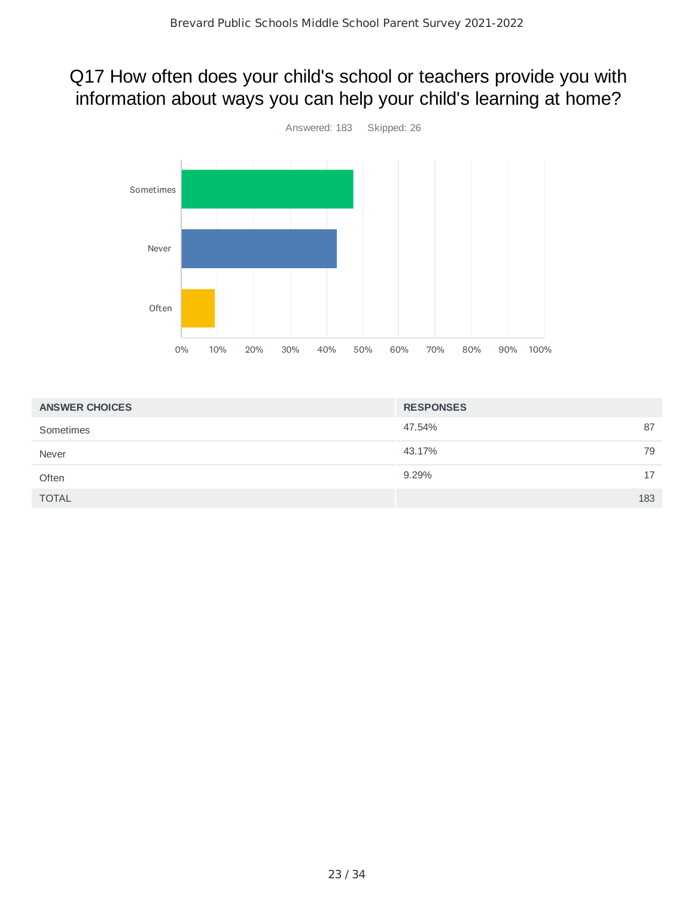## Q17 How often does your child's school or teachers provide you with information about ways you can help your child's learning at home?



| <b>ANSWER CHOICES</b> | <b>RESPONSES</b> |
|-----------------------|------------------|
| Sometimes             | 87<br>47.54%     |
| Never                 | 43.17%<br>79     |
| Often                 | 17<br>9.29%      |
| <b>TOTAL</b>          | 183              |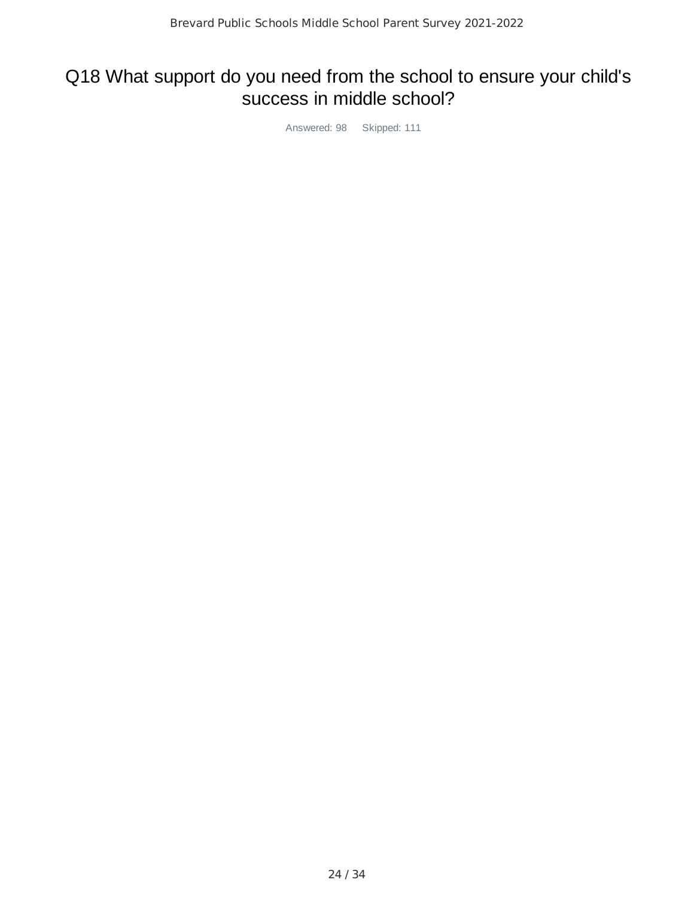## Q18 What support do you need from the school to ensure your child's success in middle school?

Answered: 98 Skipped: 111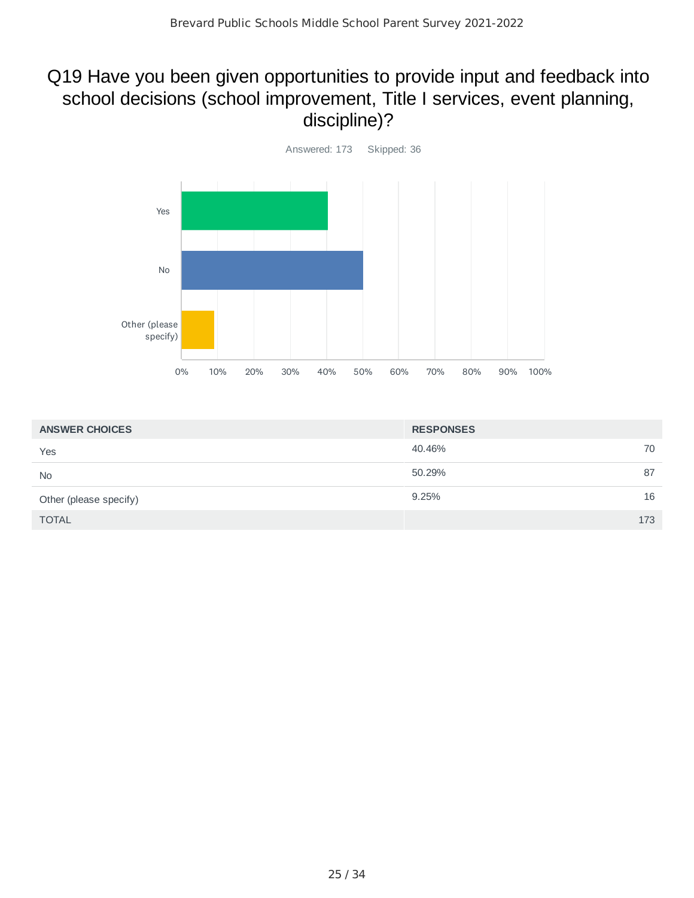## Q19 Have you been given opportunities to provide input and feedback into school decisions (school improvement, Title I services, event planning, discipline)?



| <b>ANSWER CHOICES</b>  | <b>RESPONSES</b> |
|------------------------|------------------|
| Yes                    | 40.46%<br>70     |
| <b>No</b>              | 50.29%<br>87     |
| Other (please specify) | 16<br>9.25%      |
| <b>TOTAL</b>           | 173              |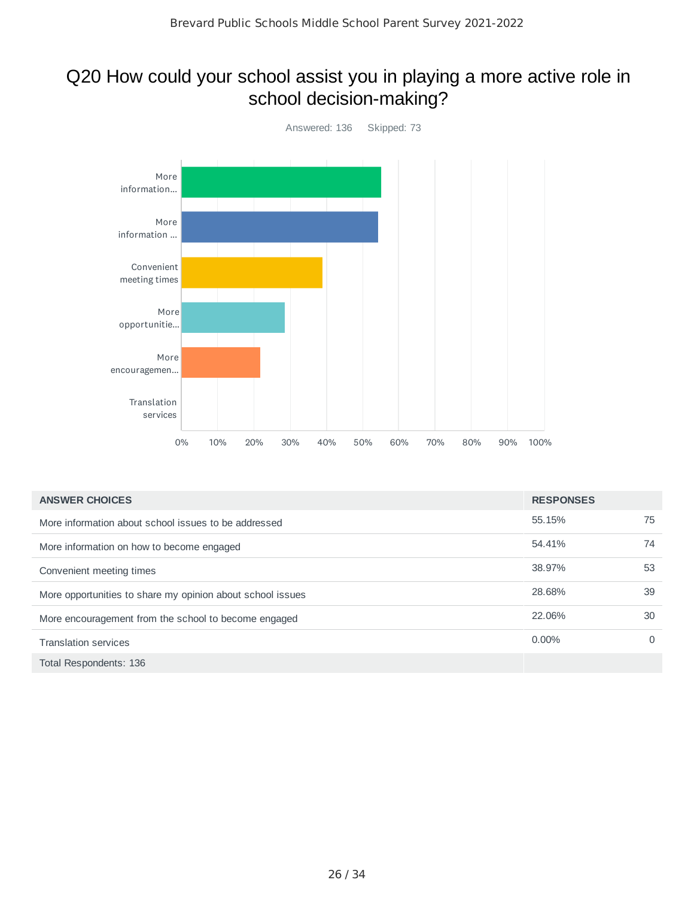## Q20 How could your school assist you in playing a more active role in school decision-making?



| <b>ANSWER CHOICES</b>                                      | <b>RESPONSES</b> |    |
|------------------------------------------------------------|------------------|----|
| More information about school issues to be addressed       | 55.15%           | 75 |
| More information on how to become engaged                  | 54.41%           | 74 |
| Convenient meeting times                                   | 38.97%           | 53 |
| More opportunities to share my opinion about school issues | 28.68%           | 39 |
| More encouragement from the school to become engaged       | 22.06%           | 30 |
| <b>Translation services</b>                                | $0.00\%$         | 0  |
| Total Respondents: 136                                     |                  |    |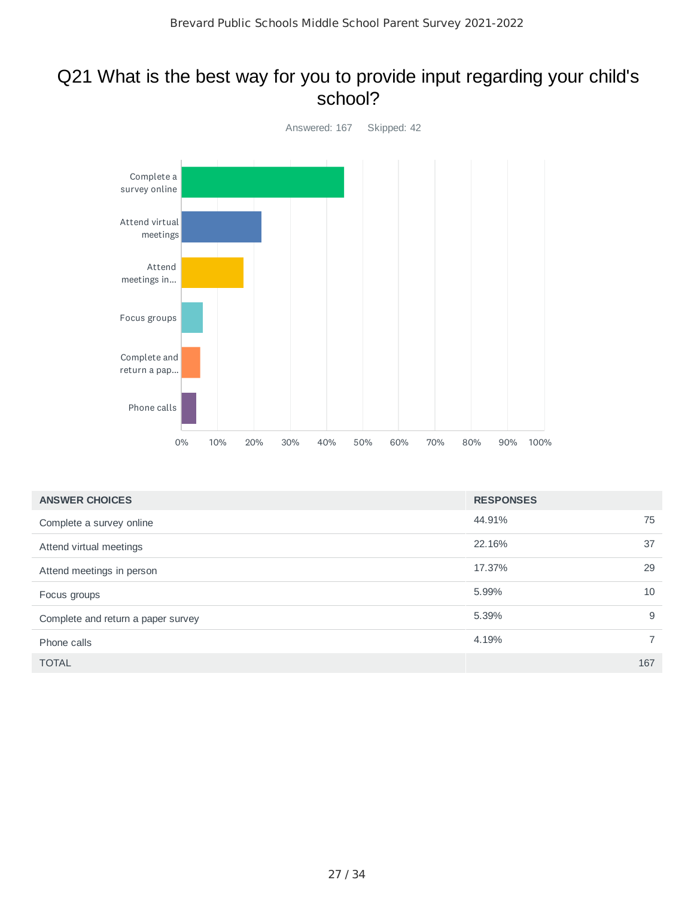#### Q21 What is the best way for you to provide input regarding your child's school?



| <b>ANSWER CHOICES</b>              | <b>RESPONSES</b> |                |
|------------------------------------|------------------|----------------|
| Complete a survey online           | 44.91%           | 75             |
| Attend virtual meetings            | 22.16%           | 37             |
| Attend meetings in person          | 17.37%           | 29             |
| Focus groups                       | 5.99%            | 10             |
| Complete and return a paper survey | 5.39%            | 9              |
| Phone calls                        | 4.19%            | $\overline{7}$ |
| <b>TOTAL</b>                       |                  | 167            |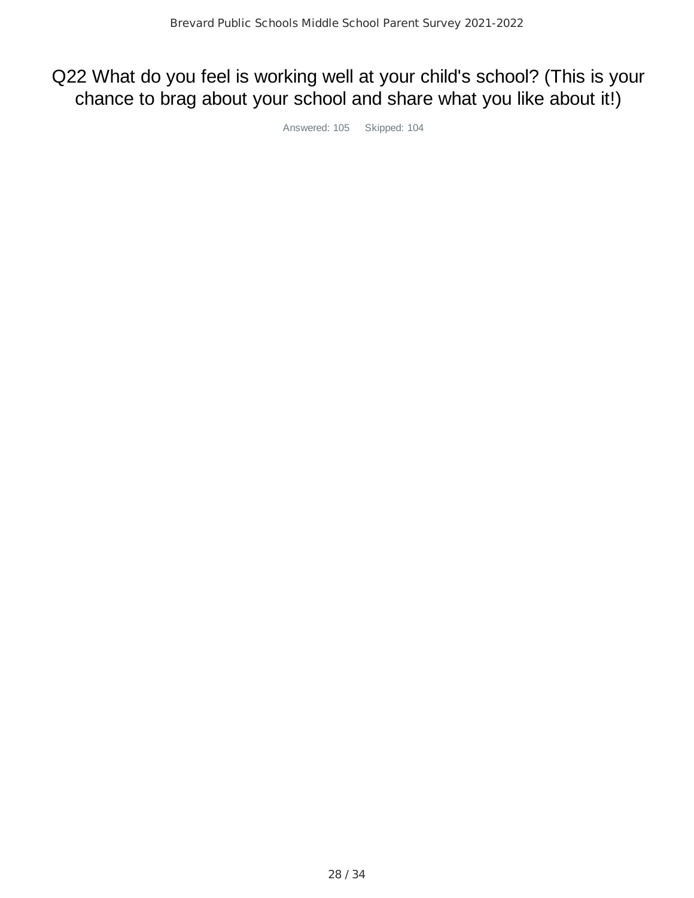## Q22 What do you feel is working well at your child's school? (This is your chance to brag about your school and share what you like about it!)

Answered: 105 Skipped: 104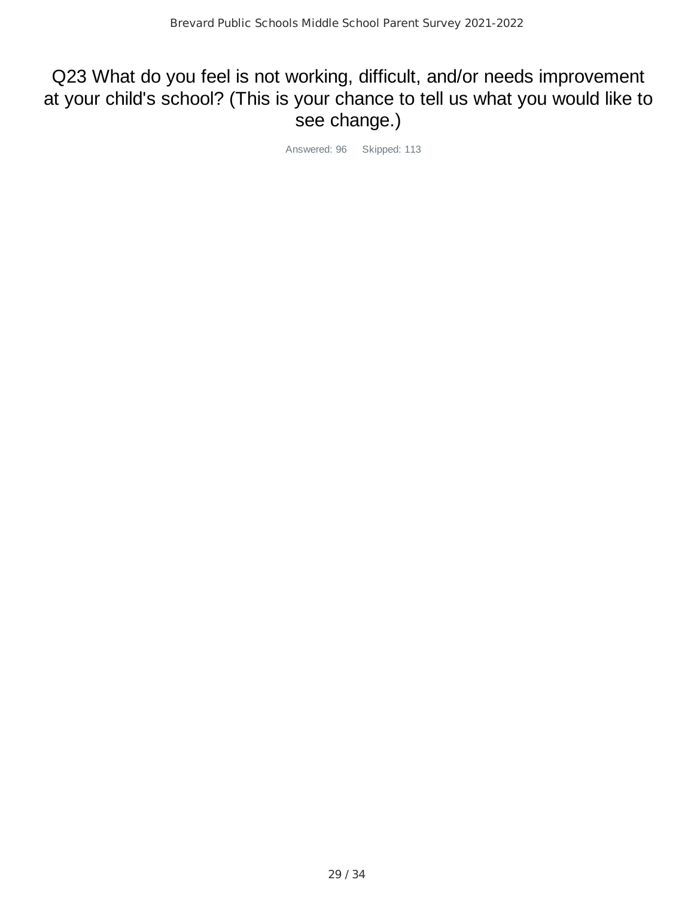## Q23 What do you feel is not working, difficult, and/or needs improvement at your child's school? (This is your chance to tell us what you would like to see change.)

Answered: 96 Skipped: 113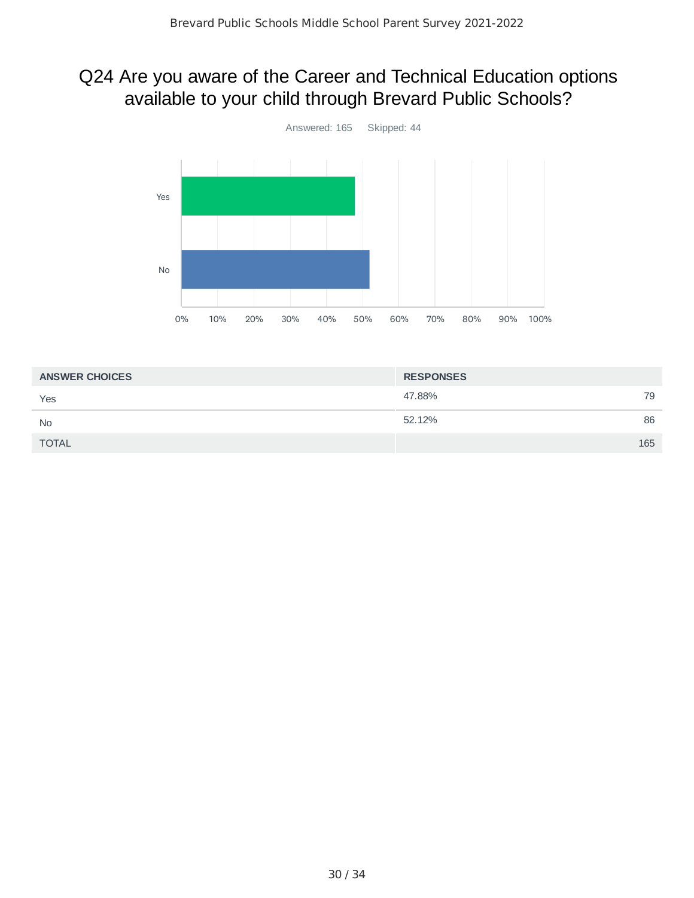## Q24 Are you aware of the Career and Technical Education options available to your child through Brevard Public Schools?



| <b>ANSWER CHOICES</b> | <b>RESPONSES</b> |     |
|-----------------------|------------------|-----|
| Yes                   | 47.88%           | 79  |
| <b>No</b>             | 52.12%           | 86  |
| <b>TOTAL</b>          |                  | 165 |
|                       |                  |     |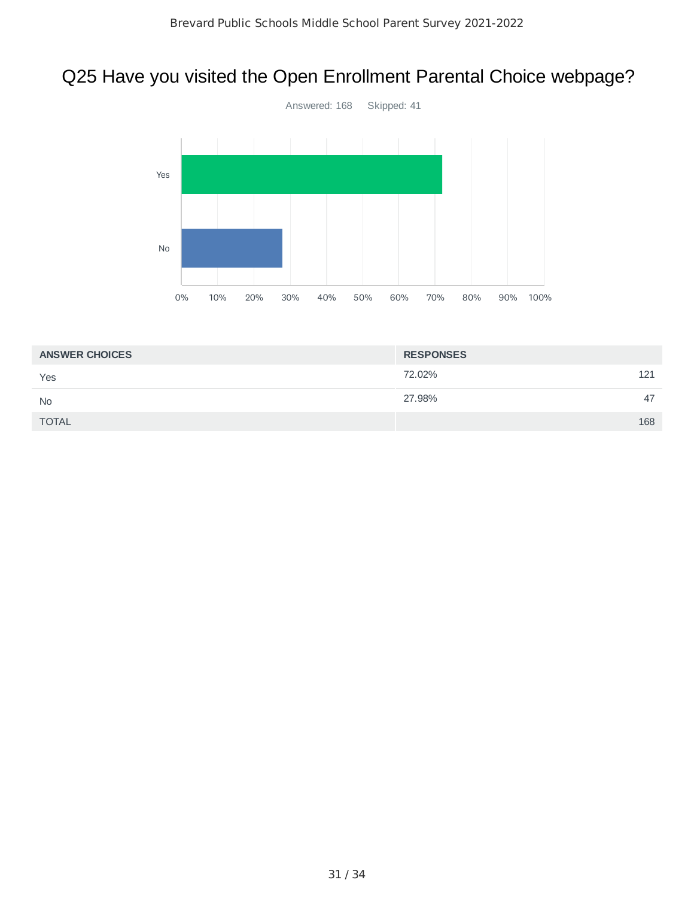## Q25 Have you visited the Open Enrollment Parental Choice webpage?



| <b>ANSWER CHOICES</b> | <b>RESPONSES</b> |
|-----------------------|------------------|
| Yes                   | 72.02%<br>121    |
| <b>No</b>             | 27.98%<br>47     |
| <b>TOTAL</b>          | 168              |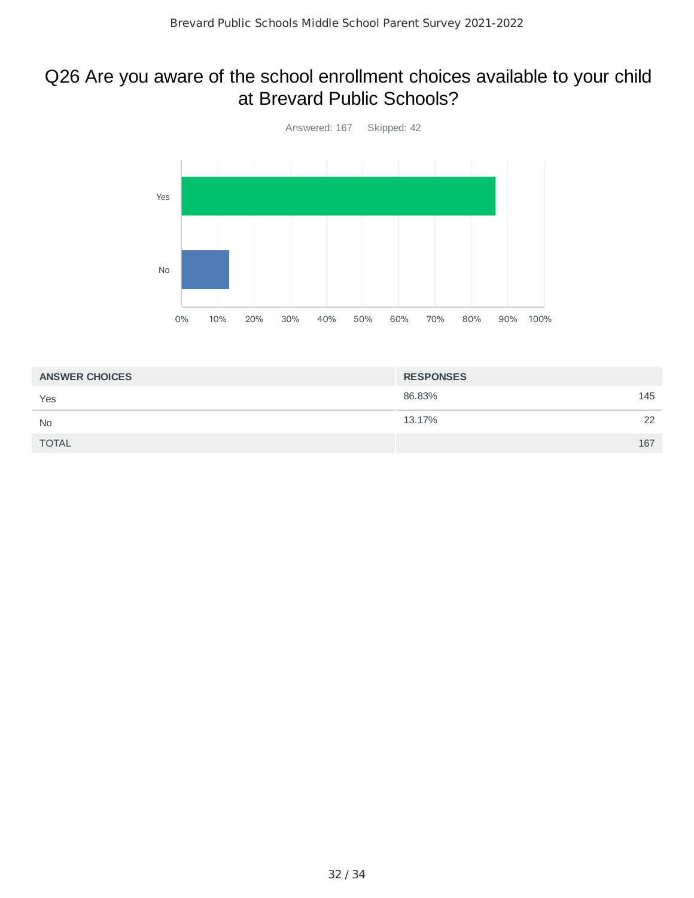#### Q26 Are you aware of the school enrollment choices available to your child at Brevard Public Schools?



| <b>ANSWER CHOICES</b> | <b>RESPONSES</b> |     |
|-----------------------|------------------|-----|
| Yes                   | 86.83%           | 145 |
| <b>No</b>             | 13.17%           | 22  |
| <b>TOTAL</b>          |                  | 167 |
|                       |                  |     |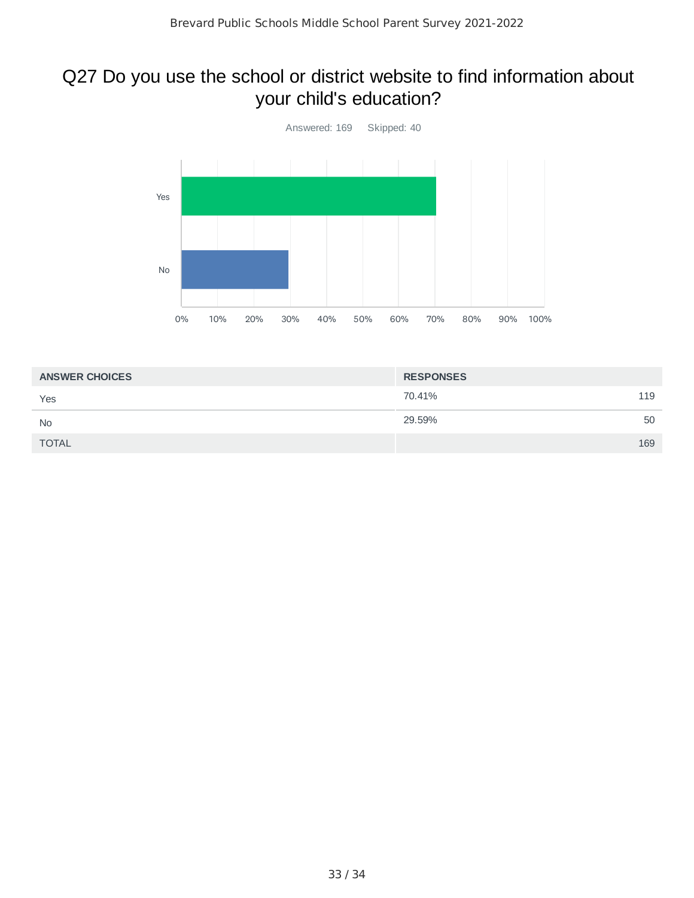## Q27 Do you use the school or district website to find information about your child's education?



| <b>ANSWER CHOICES</b> | <b>RESPONSES</b> |     |
|-----------------------|------------------|-----|
| Yes                   | 70.41%           | 119 |
| <b>No</b>             | 29.59%           | 50  |
| <b>TOTAL</b>          |                  | 169 |
|                       |                  |     |